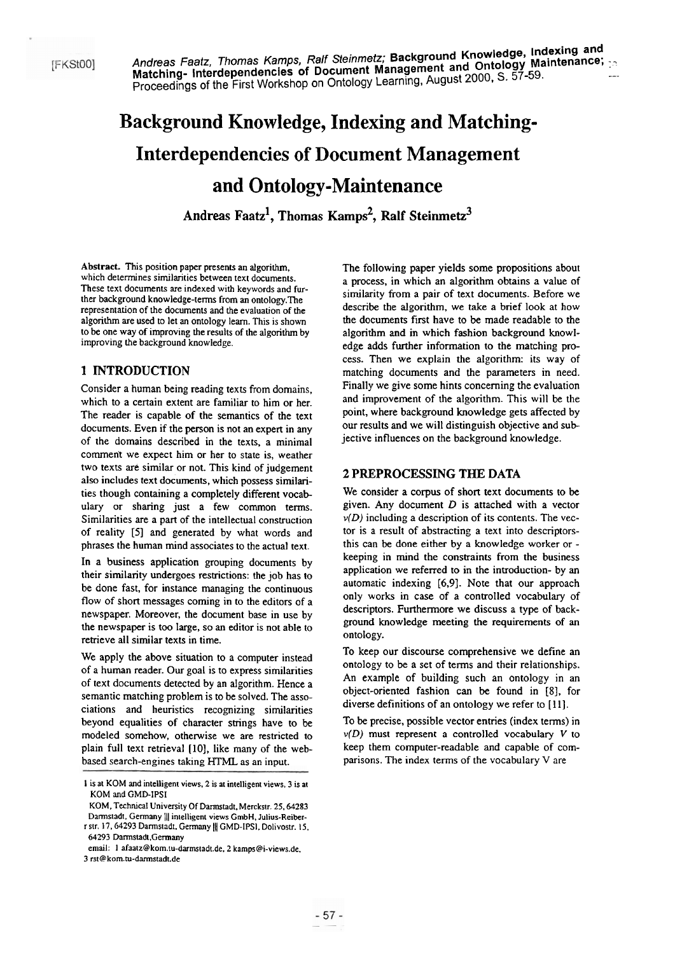# **Background Knowledge, Indexing and Matching-Interdependencies of Document Management and Ontology-Maintenance**

Andreas Faatz<sup>1</sup>, Thomas Kamps<sup>2</sup>, Ralf Steinmetz<sup>3</sup>

Abstract. This position paper presents an aigorithm, which determines similarities between text documents. These text documents **are** indexed with keywords and further background knowledge-tems from an ontology.The representation of the docurnents and the evaluation of the algorithm are used to let an ontology learn. This is shown to be one way of improving he results of the algorithm by improving the background knowledge.

## **1 INTRODUCTION**

Consider a human being reading texts from domains, which to a certain extent are familiar to him or her. The reader is capable of the semantics of the text documents. Even if the person is not an expert in any of the domains described in the texts, a minimal comment we expect him or her to state is, weather two texts **ar&** similar or not. This kind of judgement also includes text documents, which possess similarities though containing a completely different vocab ulary or sharing just a few common tems. Similarities are a part of the intellectual construction of reality **[SI** and generated by what words and phrases the human mind associates to the actual text.

In a business application grouping documents by their similarity undergoes restrictions: the job has to be done fast, for instance managing the continuous flow of short messages coming in to the editors of a newspaper. Moreover, the document base in use by the newspaper is too large, so an editor is not able to retrieve all similar texts in time.

We apply the above situation to a computer instead of a human reader- Our goal is to express similarities of text documents detected by an algorithm. Hence a semantic matching problem is to be solved. The associations and heuristics recognizing similarities beyond equalities of character strings have to be modeled somehow, otherwise we are restricted to plain full text retneval **[10],** like many of the webbased search-engines taking HTML as an input.

The following paper yields some propositions about a process, in which an algonthm obtains a value of similarity from a pair of text documents. Before we describe the algorithm, we take a brief look at how the documents first have to be made readable to the algorithm and in which fashion background knowledge adds further information to the matching process. Then we explain the algorithm: its way of matching documents and the parameters in need. Finally we give some hints conceming the evaluation and improvement of the algorithm. This will **be** the point, where background knowledge gets affected by our results and we will distinguish objective and subjective influences on the background knowledge.

### **2 PREPROCESSLNG THE DATA**

We consider a corpus of short text documents to be given. Any document  $D$  is attached with a vector  $\nu(D)$  including a description of its contents. The vector is a result of abstracting a text into descriptorsthis can **be** done either by a knowledge worker or keeping in mind the constraints from the business application we referred to in the introduction- by an automatic indexing **[6,9].** Note that our approach only works in case of a controlled vocabulary of descriptors. Furthermore we discuss a type of background knowledge meeting the requirements of an ontology.

To keep our discourse comprehensive we define an ontology to be a set of terms and their relationships. An example of building such an ontology in an object-oriented fashion can be found in [8], for diverse definitions of an ontology we refer to **[ll].** 

To be precise, possible vector entries (index terms) in *v(D)* must represent a controlled vocabulary V to keep them computer-readable and capable of comparisons. The index terms of the vocabulary V are

I is ai KOM and intelligent views. 2 is at intelligent views, 3 is at KOM and GMD-IPSI

KOM. Technical University Of Darmstadt. Merckstr. 25.64283 Darmstadt, Germany || intelligent views GmbH, Julius-Reiberr str. 17, 64293 Darmstadt, Germany || GMD-IPSI, Dolivostr. 15,

<sup>64293</sup> Darmstadi.Germany

email: **1 afaatz@kom.tu-darmsiadt.de.** 2 kamps@i-views.de.

<sup>3</sup> rst@kom.tu-darmstadt.de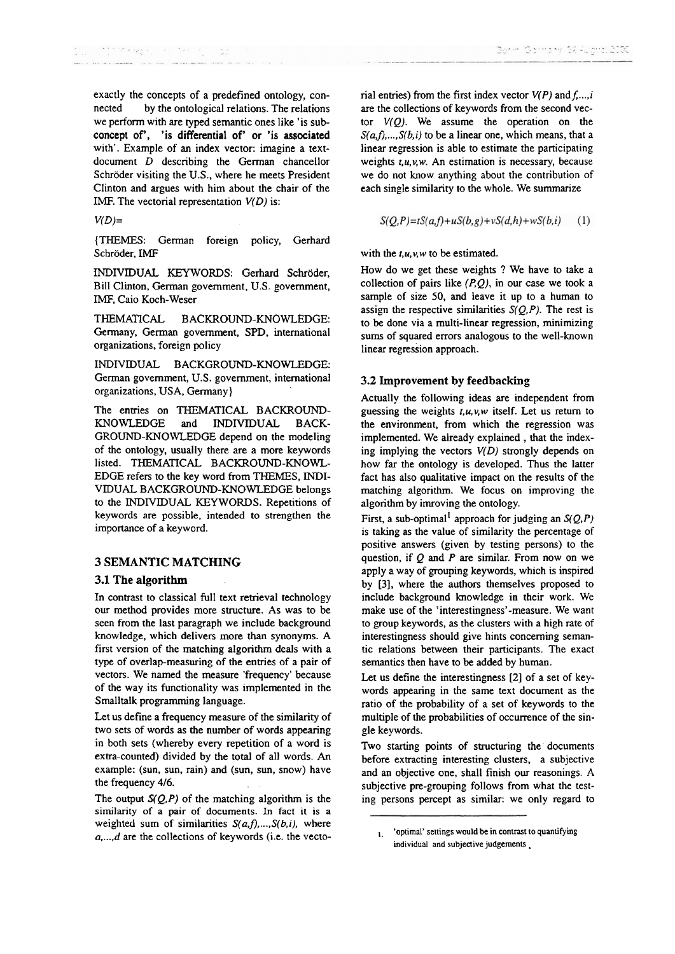exactly the concepts of a predefined ontology, connected by the ontological relations. The relations we perform with are **typed** semantic ones like 'is subconcept of', 'is differential of' or 'is associated with'. Example of an index vector: imagine a textdocument D descnbing the German chancellor Schröder visiting the U.S., where he meets President Clinton and argues with him about the chair of the IMF. The vectorial representation  $V(D)$  is:

*V(D)=* 

(THEMES: German foreign policy, Gerhard Schröder, IMF

INDIVIDUAL KEYWORDS: Gerhard Schröder, Bill Clinton, German govemment, U.S. government, IMF, Caio Koch-Weser

THEMATICAL BACKROUND-KNOWLEDGE: Germany, German government, SPD. intemational organizations, foreign policy

INDIVIDUAL BACKGROUND-KNOWLEDGE: German govemment, U.S. govemment, international organizations, USA, Germany)

The entries on THEMATICAL BACKROUND-KNOWLEDGE and INDIVIDUAL BACK-GROUND-KNOWLEDGE depend on the modeling of the ontology. usually there are a more keywords listed. THEMATICAL BACKROUND-KNOWL-EDGE refers to the key word from THEMES, INDI-VIDUAL BACKGROUND-KNOWLEDGE belongs **to** the INDIVIDUAL KEYWORDS. Repetitions of keywords are possible, intended to strengthen the importance of a keyword.

#### **3 SEMANTIC MATCHING**

#### **3.1 The algorithm**

In contrast to classical full text retrieval technology our method provides more structure. As was to be seen from the last paragraph we include background knowledge, which delivers more than Synonyms. A first version of the matching algorithm deals with a type of overlap-measuring of the entries of a pair of vectors. We named the measure 'frequency' because of the way its functionality was implemented in the Smalltalk programming language.

Let us define a frequency measure of the similarity of two sets of words as the number of words appearing in both Sets (whereby every repetition of a word is extra-counted) divided by the total of all words. An example: (sun, sun, rain) and (sun, sun, snow) have the frequency 416.

The output  $S(Q, P)$  of the matching algorithm is the similarity of a pair of documents. In fact it is a weighted sum of similarities  $S(a,f),...,S(b,i)$ , where a,...,d are the collections of keywords (i.e. the vectorial entries) from the first index vector  $V(P)$  and  $f, \ldots, i$ are the collections of keywords from the second vector *V(Q).* We assume the operation on the  $S(a,f),...,S(b,i)$  to be a linear one, which means, that a linear regression is able to estimate the participating weights *t.u,v,w.* An estimation is necessary, because we do not know anything about the contribution of each single similarity to the whole. We surnrnarize

$$
S(Q,P)=tS(a,f)+uS(b,g)+vS(d,h)+wS(b,i) \qquad (1)
$$

with the *t,u,v,w* to be estimated.

How do we get these weights ? We have to take a collection of pairs like  $(P,Q)$ , in our case we took a sample of size 50, and leave it up to a human to assign the respective similarities  $S(Q, P)$ . The rest is to be done via a multi-linear regression, minimizing sums of squared errors analogous to the well-known linear regression approach.

#### **3.2 Improvement by feedbacking**

Actually the following ideas are independent from guessing the weights *t,u,v,w* itself. Let us retum to the environment, from which the regression was implemented. We already explained , that the indexing implying the vectors *V(D)* strongly depends on how far the ontology is developed. Thus the latter fact has also qualitative impact on the results of the matching algorithm. We focus on improving the algorithm by imroving the ontology.

First, a sub-optimal<sup>1</sup> approach for judging an  $S(Q, P)$ is taking as the value of sirnilarity the percentage of positive answers (given by testing persons) to the question, if *Q* and P are similar. From now on we apply a way of grouping keywords, which is inspired by **[3],** where the authors themselves proposed to include background knowledge in their work. We make use of the 'interestingness'-measure. We want to group keywords, as the clusters with a high rate of interestingness should give hints concerning semantic relations between their participants. The exact sernantics then have to be added by human.

Let us define the interestingness [2] of a set of keywords appearing in the Same text document as the ratio of the probability of a set of keywords to the multiple of the probabilities of occurrence of the single keywords.

Two starting points of structuring the' documents before extracting interesting clusters, a subjective and an objective one, shall finish our reasonings. A subjective pre-grouping follows from what the testing persons percept as similar: we only regard to

<sup>,,</sup> **'optimal' settings would be in contrast to quantifying individual and subjective judgements** .